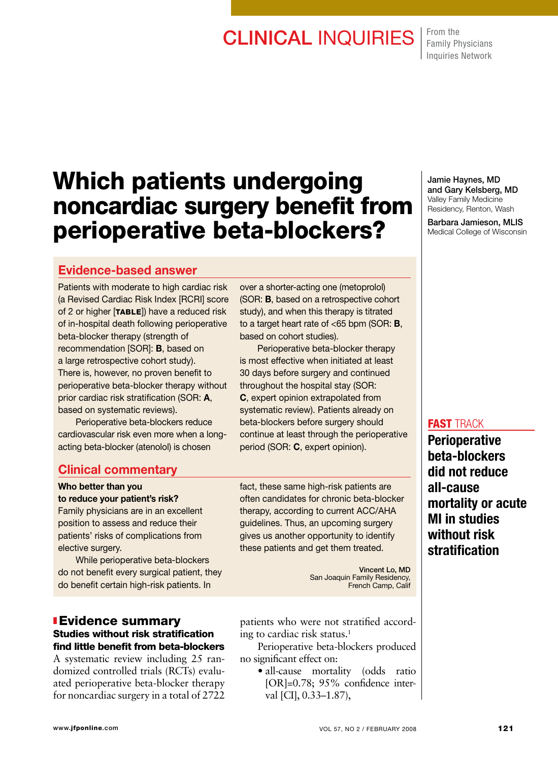# CLINICAL INQUIRIES From the

Family Physicians Inquiries Network

# Which patients undergoing noncardiac surgery benefit from perioperative beta-blockers?

# Evidence-based answer

Patients with moderate to high cardiac risk (a Revised Cardiac Risk Index [RCRI] score of 2 or higher [TABLE]) have a reduced risk of in-hospital death following perioperative beta-blocker therapy (strength of recommendation [SOR]: B, based on a large retrospective cohort study). There is, however, no proven benefit to perioperative beta-blocker therapy without prior cardiac risk stratification (SOR: A, based on systematic reviews).

 Perioperative beta-blockers reduce cardiovascular risk even more when a longacting beta-blocker (atenolol) is chosen

### Clinical commentary

## Who better than you

to reduce your patient's risk? Family physicians are in an excellent position to assess and reduce their patients' risks of complications from elective surgery.

 While perioperative beta-blockers do not benefit every surgical patient, they do benefit certain high-risk patients. In

### **I** Evidence summary Studies without risk stratification find little benefit from beta-blockers

A systematic review including 25 randomized controlled trials (RCTs) evaluated perioperative beta-blocker therapy for noncardiac surgery in a total of 2722

over a shorter-acting one (metoprolol) (SOR: B, based on a retrospective cohort study), and when this therapy is titrated to a target heart rate of <65 bpm (SOR: B, based on cohort studies).

 Perioperative beta-blocker therapy is most effective when initiated at least 30 days before surgery and continued throughout the hospital stay (SOR: C, expert opinion extrapolated from systematic review). Patients already on beta-blockers before surgery should continue at least through the perioperative period (SOR: C, expert opinion).

fact, these same high-risk patients are often candidates for chronic beta-blocker therapy, according to current ACC/AHA guidelines. Thus, an upcoming surgery gives us another opportunity to identify these patients and get them treated.

> Vincent Lo, MD San Joaquin Family Residency, French Camp, Calif

patients who were not stratified according to cardiac risk status.1

Perioperative beta-blockers produced no significant effect on:

• all-cause mortality (odds ratio [OR]=0.78; 95% confidence interval [CI], 0.33–1.87),

Jamie Haynes, MD and Gary Kelsberg, MD Valley Family Medicine Residency, Renton, Wash

Barbara Jamieson, MLIS Medical College of Wisconsin

### **FAST TRACK**

**Perioperative** beta-blockers did not reduce all-cause mortality or acute MI in studies without risk stratification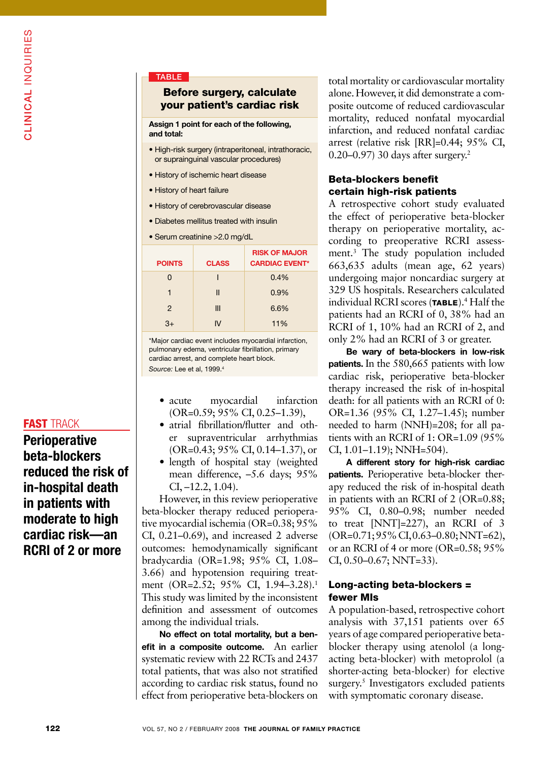### **TABLE**

### Before surgery, calculate your patient's cardiac risk

Assign 1 point for each of the following, and total:

- High-risk surgery (intraperitoneal, intrathoracic, or suprainguinal vascular procedures)
- History of ischemic heart disease
- History of heart failure
- History of cerebrovascular disease
- Diabetes mellitus treated with insulin
- Serum creatinine >2.0 mg/dL

| <b>POINTS</b> | <b>CLASS</b> | <b>RISK OF MAJOR</b><br><b>CARDIAC EVENT*</b> |
|---------------|--------------|-----------------------------------------------|
| O             |              | 0.4%                                          |
| 1             | Ш            | 0.9%                                          |
| $\mathcal{P}$ | Ш            | 6.6%                                          |
| $3+$          | N            | 11%                                           |

\*Major cardiac event includes myocardial infarction, pulmonary edema, ventricular fibrillation, primary cardiac arrest, and complete heart block. *Source:* Lee et al, 1999.4

- acute myocardial infarction (OR=0.59; 95% CI, 0.25–1.39),
- atrial fibrillation/flutter and other supraventricular arrhythmias (OR=0.43; 95% CI, 0.14–1.37), or
- length of hospital stay (weighted mean difference, –5.6 days; 95%  $CI, -12.2, 1.04$ .

However, in this review perioperative beta-blocker therapy reduced perioperative myocardial ischemia (OR=0.38; 95% CI, 0.21–0.69), and increased 2 adverse outcomes: hemodynamically significant bradycardia (OR=1.98; 95% CI, 1.08– 3.66) and hypotension requiring treatment (OR=2.52; 95% CI, 1.94-3.28).<sup>1</sup> This study was limited by the inconsistent definition and assessment of outcomes among the individual trials.

No effect on total mortality, but a benefit in a composite outcome. An earlier systematic review with 22 RCTs and 2437 total patients, that was also not stratified according to cardiac risk status, found no effect from perioperative beta-blockers on total mortality or cardiovascular mortality alone. However, it did demonstrate a composite outcome of reduced cardiovascular mortality, reduced nonfatal myocardial infarction, and reduced nonfatal cardiac arrest (relative risk [RR]=0.44; 95% CI, 0.20–0.97) 30 days after surgery.2

### Beta-blockers benefit certain high-risk patients

A retrospective cohort study evaluated the effect of perioperative beta-blocker therapy on perioperative mortality, according to preoperative RCRI assessment.3 The study population included 663,635 adults (mean age, 62 years) undergoing major noncardiac surgery at 329 US hospitals. Researchers calculated individual RCRI scores (TABLE).<sup>4</sup> Half the patients had an RCRI of 0, 38% had an RCRI of 1, 10% had an RCRI of 2, and only 2% had an RCRI of 3 or greater.

Be wary of beta-blockers in low-risk patients. In the 580,665 patients with low cardiac risk, perioperative beta-blocker therapy increased the risk of in-hospital death: for all patients with an RCRI of 0: OR=1.36 (95% CI, 1.27–1.45); number needed to harm (NNH)=208; for all patients with an RCRI of 1: OR=1.09 (95% CI, 1.01–1.19); NNH=504).

A different story for high-risk cardiac patients. Perioperative beta-blocker therapy reduced the risk of in-hospital death in patients with an RCRI of 2 (OR=0.88; 95% CI, 0.80–0.98; number needed to treat [NNT]=227), an RCRI of 3 (OR=0.71; 95% CI, 0.63–0.80; NNT=62), or an RCRI of 4 or more (OR=0.58; 95% CI, 0.50–0.67; NNT=33).

### Long-acting beta-blockers = fewer MIs

A population-based, retrospective cohort analysis with 37,151 patients over 65 years of age compared perioperative betablocker therapy using atenolol (a longacting beta-blocker) with metoprolol (a shorter-acting beta-blocker) for elective surgery.<sup>5</sup> Investigators excluded patients with symptomatic coronary disease.

# IN THE TRACK CASE TRACK CONTROLLED A SAFEKEEPING CONTROLLED A SAFEKEEPING CONTROLLED IN THE CASE IN THE CASE OF TRACK CASE IN THE CASE OF TRACK CASE IN THE CASE IN THE CASE OF THE CASE OF THE CASE OF THE CASE OF THE CASE O **FAST TRACK**

**Perioperative** beta-blockers reduced the risk of in-hospital death in patients with moderate to high cardiac risk—an RCRI of 2 or more